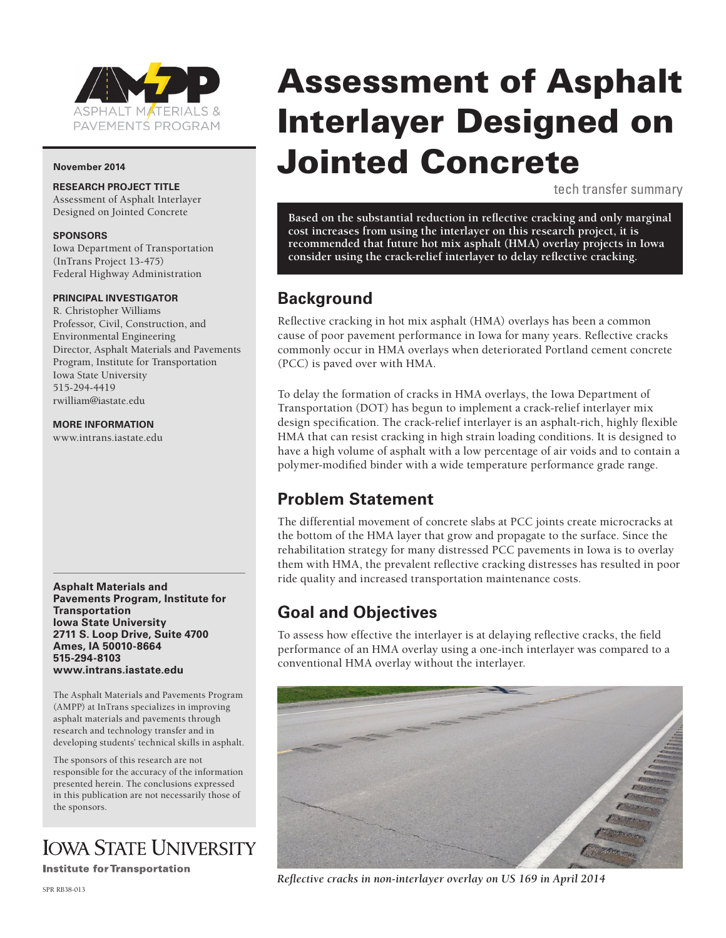

#### **November 2014**

### **RESEARCH PROJECT TITLE**

Assessment of Asphalt Interlayer Designed on Jointed Concrete

#### **SPONSORS**

Iowa Department of Transportation (InTrans Project 13-475) Federal Highway Administration

#### **PRINCIPAL INVESTIGATOR**

R. Christopher Williams Professor, Civil, Construction, and Environmental Engineering Director, Asphalt Materials and Pavements Program, Institute for Transportation Iowa State University 515-294-4419 rwilliam@iastate.edu

#### **MORE INFORMATION**

www.intrans.iastate.edu

**Asphalt Materials and Pavements Program, Institute for Transportation Iowa State University 2711 S. Loop Drive, Suite 4700 Ames, IA 50010-8664 515-294-8103 www.intrans.iastate.edu**

The Asphalt Materials and Pavements Program (AMPP) at InTrans specializes in improving asphalt materials and pavements through research and technology transfer and in developing students' technical skills in asphalt.

The sponsors of this research are not responsible for the accuracy of the information presented herein. The conclusions expressed in this publication are not necessarily those of the sponsors.

# **IOWA STATE UNIVERSITY**

**Institute for Transportation** 

#### SPR RB38-013

Assessment of Asphalt Interlayer Designed on Jointed Concrete

tech transfer summary

**Based on the substantial reduction in reflective cracking and only marginal cost increases from using the interlayer on this research project, it is recommended that future hot mix asphalt (HMA) overlay projects in Iowa consider using the crack-relief interlayer to delay reflective cracking.**

### **Background**

Reflective cracking in hot mix asphalt (HMA) overlays has been a common cause of poor pavement performance in Iowa for many years. Reflective cracks commonly occur in HMA overlays when deteriorated Portland cement concrete (PCC) is paved over with HMA.

To delay the formation of cracks in HMA overlays, the Iowa Department of Transportation (DOT) has begun to implement a crack-relief interlayer mix design specification. The crack-relief interlayer is an asphalt-rich, highly flexible HMA that can resist cracking in high strain loading conditions. It is designed to have a high volume of asphalt with a low percentage of air voids and to contain a polymer-modified binder with a wide temperature performance grade range.

### **Problem Statement**

The differential movement of concrete slabs at PCC joints create microcracks at the bottom of the HMA layer that grow and propagate to the surface. Since the rehabilitation strategy for many distressed PCC pavements in Iowa is to overlay them with HMA, the prevalent reflective cracking distresses has resulted in poor ride quality and increased transportation maintenance costs.

### **Goal and Objectives**

To assess how effective the interlayer is at delaying reflective cracks, the field performance of an HMA overlay using a one-inch interlayer was compared to a conventional HMA overlay without the interlayer.



*Reflective cracks in non-interlayer overlay on US 169 in April 2014*